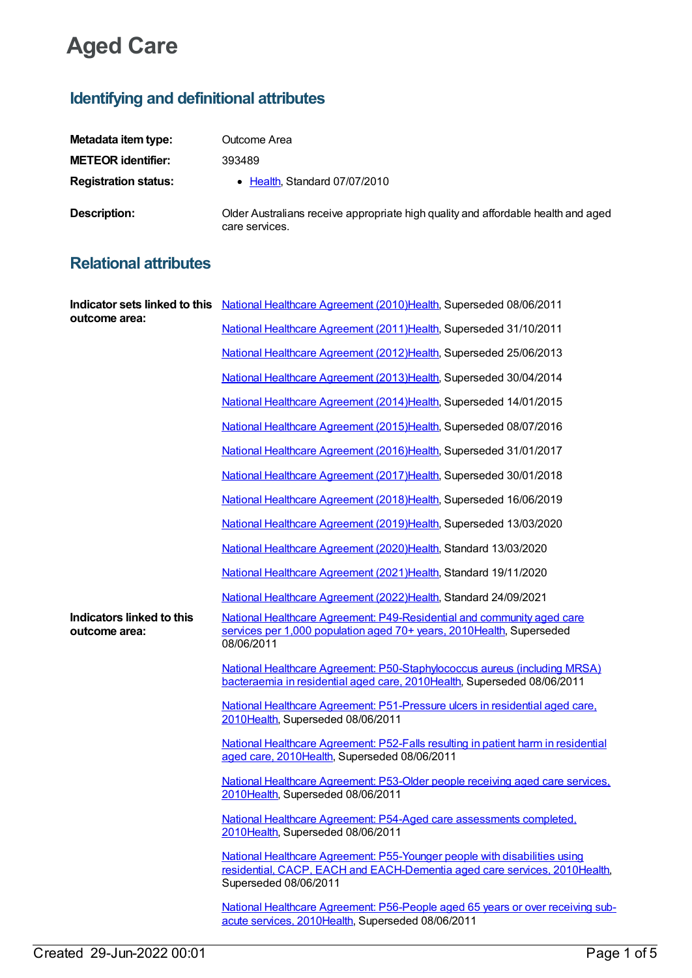## **Aged Care**

## **Identifying and definitional attributes**

| Metadata item type:         | Outcome Area                                                                                        |
|-----------------------------|-----------------------------------------------------------------------------------------------------|
| <b>METEOR identifier:</b>   | 393489                                                                                              |
| <b>Registration status:</b> | • Health, Standard 07/07/2010                                                                       |
| Description:                | Older Australians receive appropriate high quality and affordable health and aged<br>care services. |

## **Relational attributes**

| outcome area:                              | Indicator sets linked to this National Healthcare Agreement (2010) Health, Superseded 08/06/2011                                                                                 |
|--------------------------------------------|----------------------------------------------------------------------------------------------------------------------------------------------------------------------------------|
|                                            | National Healthcare Agreement (2011) Health, Superseded 31/10/2011                                                                                                               |
|                                            | National Healthcare Agreement (2012)Health, Superseded 25/06/2013                                                                                                                |
|                                            | National Healthcare Agreement (2013) Health, Superseded 30/04/2014                                                                                                               |
|                                            | National Healthcare Agreement (2014) Health, Superseded 14/01/2015                                                                                                               |
|                                            | National Healthcare Agreement (2015)Health, Superseded 08/07/2016                                                                                                                |
|                                            | National Healthcare Agreement (2016)Health, Superseded 31/01/2017                                                                                                                |
|                                            | National Healthcare Agreement (2017) Health, Superseded 30/01/2018                                                                                                               |
|                                            | National Healthcare Agreement (2018)Health, Superseded 16/06/2019                                                                                                                |
|                                            | National Healthcare Agreement (2019)Health, Superseded 13/03/2020                                                                                                                |
|                                            | National Healthcare Agreement (2020)Health, Standard 13/03/2020                                                                                                                  |
|                                            | National Healthcare Agreement (2021) Health, Standard 19/11/2020                                                                                                                 |
|                                            | National Healthcare Agreement (2022)Health, Standard 24/09/2021                                                                                                                  |
| Indicators linked to this<br>outcome area: | National Healthcare Agreement: P49-Residential and community aged care<br>services per 1,000 population aged 70+ years, 2010Health, Superseded<br>08/06/2011                     |
|                                            | National Healthcare Agreement: P50-Staphylococcus aureus (including MRSA)<br>bacteraemia in residential aged care, 2010Health, Superseded 08/06/2011                             |
|                                            | National Healthcare Agreement: P51-Pressure ulcers in residential aged care,<br>2010Health, Superseded 08/06/2011                                                                |
|                                            | National Healthcare Agreement: P52-Falls resulting in patient harm in residential<br>aged care, 2010Health, Superseded 08/06/2011                                                |
|                                            | National Healthcare Agreement: P53-Older people receiving aged care services,<br>2010Health, Superseded 08/06/2011                                                               |
|                                            | National Healthcare Agreement: P54-Aged care assessments completed,<br>2010Health, Superseded 08/06/2011                                                                         |
|                                            | National Healthcare Agreement: P55-Younger people with disabilities using<br>residential, CACP, EACH and EACH-Dementia aged care services, 2010 Health,<br>Superseded 08/06/2011 |
|                                            | National Healthcare Agreement: P56-People aged 65 years or over receiving sub-<br>acute services, 2010Health, Superseded 08/06/2011                                              |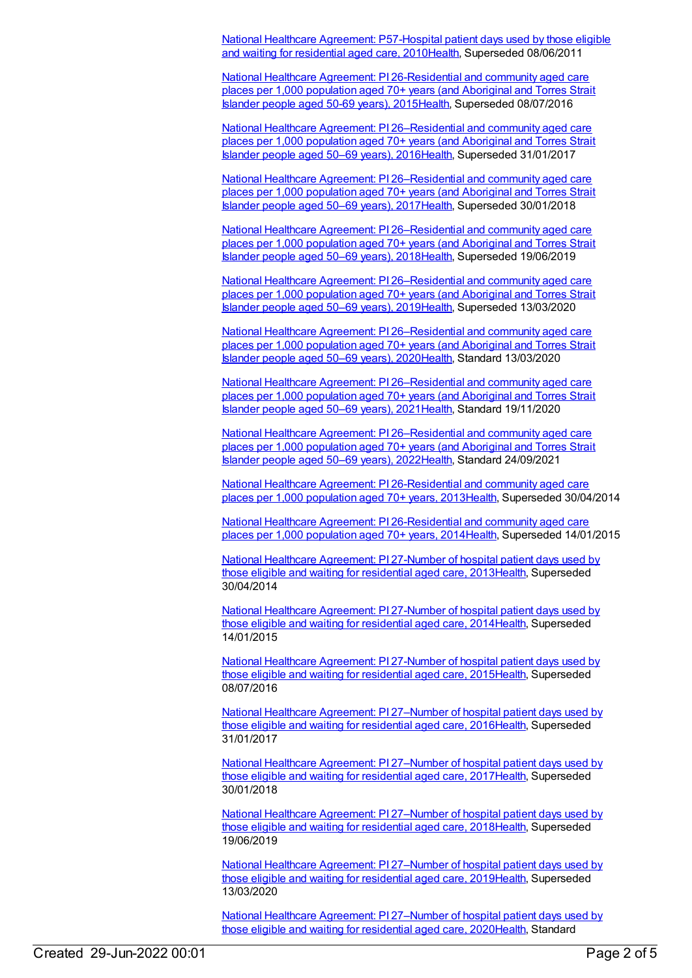National Healthcare Agreement: [P57-Hospital](https://meteor.aihw.gov.au/content/400221) patient days used by those eligible and waiting for residential aged care, 201[0Health](https://meteor.aihw.gov.au/RegistrationAuthority/12), Superseded 08/06/2011

National Healthcare Agreement: PI [26-Residential](https://meteor.aihw.gov.au/content/559014) and community aged care places per 1,000 population aged 70+ years (and Aboriginal and Torres Strait Islander people aged 50-69 years), 201[5Health](https://meteor.aihw.gov.au/RegistrationAuthority/12), Superseded 08/07/2016

National Healthcare Agreement: PI [26–Residential](https://meteor.aihw.gov.au/content/598726) and community aged care places per 1,000 population aged 70+ years (and Aboriginal and Torres Strait Islander people aged 50–69 years), 201[6Health](https://meteor.aihw.gov.au/RegistrationAuthority/12), Superseded 31/01/2017

National Healthcare Agreement: PI [26–Residential](https://meteor.aihw.gov.au/content/630055) and community aged care places per 1,000 population aged 70+ years (and Aboriginal and Torres Strait Islander people aged 50–69 years), 201[7Health](https://meteor.aihw.gov.au/RegistrationAuthority/12), Superseded 30/01/2018

National Healthcare Agreement: PI [26–Residential](https://meteor.aihw.gov.au/content/658479) and community aged care places per 1,000 population aged 70+ years (and Aboriginal and Torres Strait Islander people aged 50–69 years), 201[8Health](https://meteor.aihw.gov.au/RegistrationAuthority/12), Superseded 19/06/2019

National Healthcare Agreement: PI [26–Residential](https://meteor.aihw.gov.au/content/698884) and community aged care places per 1,000 population aged 70+ years (and Aboriginal and Torres Strait Islander people aged 50–69 years), 201[9Health](https://meteor.aihw.gov.au/RegistrationAuthority/12), Superseded 13/03/2020

National Healthcare Agreement: PI [26–Residential](https://meteor.aihw.gov.au/content/716840) and community aged care places per 1,000 population aged 70+ years (and Aboriginal and Torres Strait Islander people aged 50–69 years), 202[0Health](https://meteor.aihw.gov.au/RegistrationAuthority/12), Standard 13/03/2020

National Healthcare Agreement: PI [26–Residential](https://meteor.aihw.gov.au/content/725771) and community aged care places per 1,000 population aged 70+ years (and Aboriginal and Torres Strait Islander people aged 50–69 years), 202[1Health](https://meteor.aihw.gov.au/RegistrationAuthority/12), Standard 19/11/2020

National Healthcare Agreement: PI [26–Residential](https://meteor.aihw.gov.au/content/740826) and community aged care places per 1,000 population aged 70+ years (and Aboriginal and Torres Strait Islander people aged 50–69 years), 202[2Health](https://meteor.aihw.gov.au/RegistrationAuthority/12), Standard 24/09/2021

National Healthcare Agreement: PI [26-Residential](https://meteor.aihw.gov.au/content/497002) and community aged care places per 1,000 population aged 70+ years, 201[3Health](https://meteor.aihw.gov.au/RegistrationAuthority/12), Superseded 30/04/2014

National Healthcare Agreement: PI [26-Residential](https://meteor.aihw.gov.au/content/517628) and community aged care places per 1,000 population aged 70+ years, 201[4Health](https://meteor.aihw.gov.au/RegistrationAuthority/12), Superseded 14/01/2015

National Healthcare [Agreement:](https://meteor.aihw.gov.au/content/496999) PI 27-Number of hospital patient days used by those eligible and waiting for residential aged care, 201[3Health](https://meteor.aihw.gov.au/RegistrationAuthority/12), Superseded 30/04/2014

National Healthcare [Agreement:](https://meteor.aihw.gov.au/content/517660) PI 27-Number of hospital patient days used by those eligible and waiting for residential aged care, 201[4Health](https://meteor.aihw.gov.au/RegistrationAuthority/12), Superseded 14/01/2015

National Healthcare [Agreement:](https://meteor.aihw.gov.au/content/559012) PI 27-Number of hospital patient days used by those eligible and waiting for residential aged care, 201[5Health](https://meteor.aihw.gov.au/RegistrationAuthority/12), Superseded 08/07/2016

National Healthcare Agreement: PI [27–Number](https://meteor.aihw.gov.au/content/598724) of hospital patient days used by those eligible and waiting for residential aged care, 201[6Health](https://meteor.aihw.gov.au/RegistrationAuthority/12), Superseded 31/01/2017

National Healthcare Agreement: PI [27–Number](https://meteor.aihw.gov.au/content/630057) of hospital patient days used by those eligible and waiting for residential aged care, 2017 Health, Superseded 30/01/2018

National Healthcare Agreement: PI [27–Number](https://meteor.aihw.gov.au/content/658477) of hospital patient days used by those eligible and waiting for residential aged care, 201[8Health](https://meteor.aihw.gov.au/RegistrationAuthority/12), Superseded 19/06/2019

National Healthcare Agreement: PI [27–Number](https://meteor.aihw.gov.au/content/698882) of hospital patient days used by those eligible and waiting for residential aged care, 201[9Health](https://meteor.aihw.gov.au/RegistrationAuthority/12), Superseded 13/03/2020

National Healthcare Agreement: PI [27–Number](https://meteor.aihw.gov.au/content/716845) of hospital patient days used by those eligible and waiting for residential aged care, 202[0Health](https://meteor.aihw.gov.au/RegistrationAuthority/12), Standard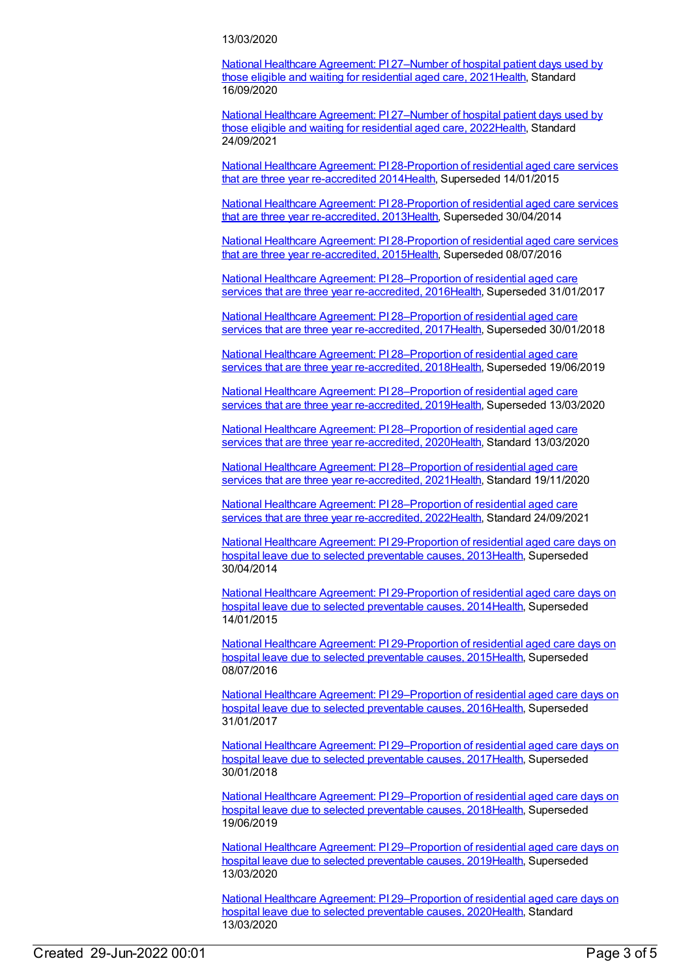## 13/03/2020

National Healthcare Agreement: PI [27–Number](https://meteor.aihw.gov.au/content/725767) of hospital patient days used by those eligible and waiting for residential aged care, 202[1Health](https://meteor.aihw.gov.au/RegistrationAuthority/12), Standard 16/09/2020

National Healthcare Agreement: PI [27–Number](https://meteor.aihw.gov.au/content/740822) of hospital patient days used by those eligible and waiting for residential aged care, 202[2Health](https://meteor.aihw.gov.au/RegistrationAuthority/12), Standard 24/09/2021

National Healthcare Agreement: PI [28-Proportion](https://meteor.aihw.gov.au/content/517625) of residential aged care services that are three year re-accredited 201[4Health](https://meteor.aihw.gov.au/RegistrationAuthority/12), Superseded 14/01/2015

National Healthcare Agreement: PI [28-Proportion](https://meteor.aihw.gov.au/content/496882) of residential aged care services that are three year re-accredited, 201[3Health](https://meteor.aihw.gov.au/RegistrationAuthority/12), Superseded 30/04/2014

National Healthcare Agreement: PI [28-Proportion](https://meteor.aihw.gov.au/content/559010) of residential aged care services that are three year re-accredited, 201[5Health](https://meteor.aihw.gov.au/RegistrationAuthority/12), Superseded 08/07/2016

National Healthcare Agreement: PI [28–Proportion](https://meteor.aihw.gov.au/content/598722) of residential aged care services that are three year re-accredited, 2016[Health](https://meteor.aihw.gov.au/RegistrationAuthority/12), Superseded 31/01/2017

National Healthcare Agreement: PI [28–Proportion](https://meteor.aihw.gov.au/content/630059) of residential aged care services that are three year re-accredited, 2017[Health](https://meteor.aihw.gov.au/RegistrationAuthority/12), Superseded 30/01/2018

National Healthcare Agreement: PI [28–Proportion](https://meteor.aihw.gov.au/content/658475) of residential aged care services that are three year re-accredited, 2018[Health](https://meteor.aihw.gov.au/RegistrationAuthority/12), Superseded 19/06/2019

National Healthcare Agreement: PI [28–Proportion](https://meteor.aihw.gov.au/content/698880) of residential aged care services that are three year re-accredited, 2019[Health](https://meteor.aihw.gov.au/RegistrationAuthority/12), Superseded 13/03/2020

National Healthcare Agreement: PI [28–Proportion](https://meteor.aihw.gov.au/content/716850) of residential aged care services that are three year re-accredited, 2020[Health](https://meteor.aihw.gov.au/RegistrationAuthority/12), Standard 13/03/2020

National Healthcare Agreement: PI [28–Proportion](https://meteor.aihw.gov.au/content/734999) of residential aged care services that are three year re-accredited, 2021 [Health](https://meteor.aihw.gov.au/RegistrationAuthority/12), Standard 19/11/2020

National Healthcare Agreement: PI [28–Proportion](https://meteor.aihw.gov.au/content/740820) of residential aged care services that are three year re-accredited, 2022[Health](https://meteor.aihw.gov.au/RegistrationAuthority/12), Standard 24/09/2021

National Healthcare Agreement: PI [29-Proportion](https://meteor.aihw.gov.au/content/496860) of residential aged care days on hospital leave due to selected preventable causes, 2013[Health](https://meteor.aihw.gov.au/RegistrationAuthority/12), Superseded 30/04/2014

National Healthcare Agreement: PI [29-Proportion](https://meteor.aihw.gov.au/content/517623) of residential aged care days on hospital leave due to selected preventable causes, 2014[Health](https://meteor.aihw.gov.au/RegistrationAuthority/12), Superseded 14/01/2015

National Healthcare Agreement: PI [29-Proportion](https://meteor.aihw.gov.au/content/559008) of residential aged care days on hospital leave due to selected preventable causes, 2015[Health](https://meteor.aihw.gov.au/RegistrationAuthority/12), Superseded 08/07/2016

National Healthcare Agreement: PI [29–Proportion](https://meteor.aihw.gov.au/content/598720) of residential aged care days on hospital leave due to selected preventable causes, 2016[Health](https://meteor.aihw.gov.au/RegistrationAuthority/12), Superseded 31/01/2017

National Healthcare Agreement: PI [29–Proportion](https://meteor.aihw.gov.au/content/630061) of residential aged care days on hospital leave due to selected preventable causes, 2017[Health](https://meteor.aihw.gov.au/RegistrationAuthority/12), Superseded 30/01/2018

National Healthcare Agreement: PI [29–Proportion](https://meteor.aihw.gov.au/content/658473) of residential aged care days on hospital leave due to selected preventable causes, 2018[Health](https://meteor.aihw.gov.au/RegistrationAuthority/12), Superseded 19/06/2019

National Healthcare Agreement: PI [29–Proportion](https://meteor.aihw.gov.au/content/698878) of residential aged care days on hospital leave due to selected preventable causes, 2019[Health](https://meteor.aihw.gov.au/RegistrationAuthority/12), Superseded 13/03/2020

National Healthcare Agreement: PI [29–Proportion](https://meteor.aihw.gov.au/content/716855) of residential aged care days on hospital leave due to selected preventable causes, 2020[Health](https://meteor.aihw.gov.au/RegistrationAuthority/12), Standard 13/03/2020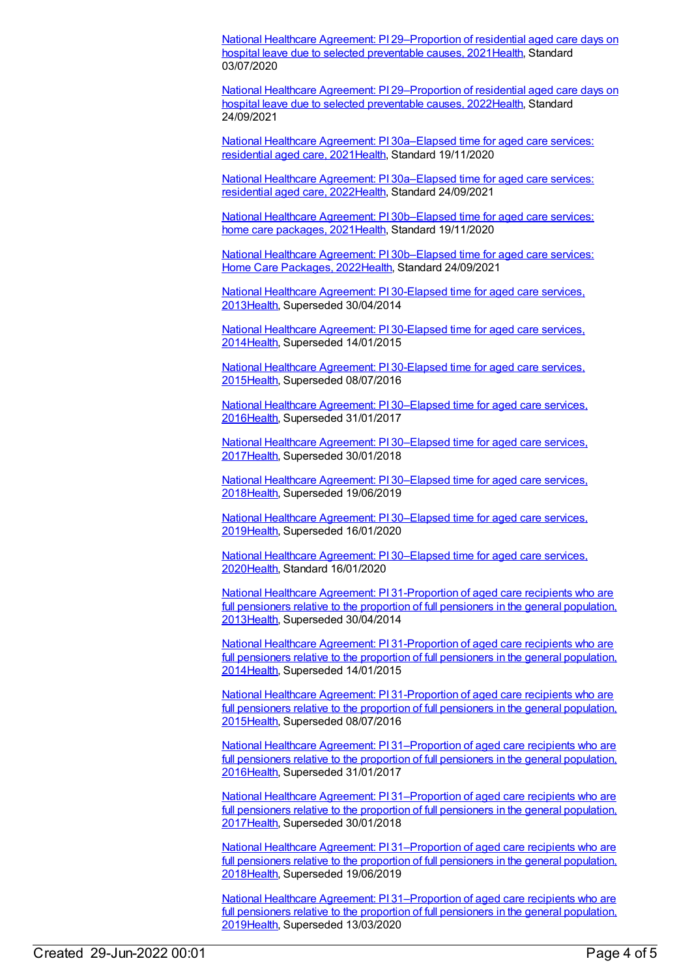National Healthcare Agreement: PI [29–Proportion](https://meteor.aihw.gov.au/content/725763) of residential aged care days on hospital leave due to selected preventable causes, 2021[Health](https://meteor.aihw.gov.au/RegistrationAuthority/12), Standard 03/07/2020

National Healthcare Agreement: PI [29–Proportion](https://meteor.aihw.gov.au/content/740752) of residential aged care days on hospital leave due to selected preventable causes, 2022[Health](https://meteor.aihw.gov.au/RegistrationAuthority/12), Standard 24/09/2021

National Healthcare Agreement: PI [30a–Elapsed](https://meteor.aihw.gov.au/content/727524) time for aged care services: residential aged care, 202[1Health](https://meteor.aihw.gov.au/RegistrationAuthority/12), Standard 19/11/2020

National Healthcare Agreement: PI [30a–Elapsed](https://meteor.aihw.gov.au/content/740750) time for aged care services: residential aged care, 202[2Health](https://meteor.aihw.gov.au/RegistrationAuthority/12), Standard 24/09/2021

National Healthcare Agreement: PI [30b–Elapsed](https://meteor.aihw.gov.au/content/725761) time for aged care services: home care packages, 202[1Health](https://meteor.aihw.gov.au/RegistrationAuthority/12), Standard 19/11/2020

National Healthcare Agreement: PI [30b–Elapsed](https://meteor.aihw.gov.au/content/740748) time for aged care services: Home Care Packages, 202[2Health](https://meteor.aihw.gov.au/RegistrationAuthority/12), Standard 24/09/2021

National Healthcare [Agreement:](https://meteor.aihw.gov.au/content/496826) PI 30-Elapsed time for aged care services, 201[3Health](https://meteor.aihw.gov.au/RegistrationAuthority/12), Superseded 30/04/2014

National Healthcare [Agreement:](https://meteor.aihw.gov.au/content/517618) PI 30-Elapsed time for aged care services, 201[4Health](https://meteor.aihw.gov.au/RegistrationAuthority/12), Superseded 14/01/2015

National Healthcare [Agreement:](https://meteor.aihw.gov.au/content/559006) PI 30-Elapsed time for aged care services, 201[5Health](https://meteor.aihw.gov.au/RegistrationAuthority/12), Superseded 08/07/2016

National Healthcare Agreement: PI [30–Elapsed](https://meteor.aihw.gov.au/content/598718) time for aged care services, 201[6Health](https://meteor.aihw.gov.au/RegistrationAuthority/12), Superseded 31/01/2017

National Healthcare Agreement: PI [30–Elapsed](https://meteor.aihw.gov.au/content/630063) time for aged care services, 201[7Health](https://meteor.aihw.gov.au/RegistrationAuthority/12), Superseded 30/01/2018

National Healthcare Agreement: PI [30–Elapsed](https://meteor.aihw.gov.au/content/658471) time for aged care services, 201[8Health](https://meteor.aihw.gov.au/RegistrationAuthority/12), Superseded 19/06/2019

National Healthcare Agreement: PI [30–Elapsed](https://meteor.aihw.gov.au/content/698876) time for aged care services, 201[9Health](https://meteor.aihw.gov.au/RegistrationAuthority/12), Superseded 16/01/2020

National Healthcare Agreement: PI [30–Elapsed](https://meteor.aihw.gov.au/content/716857) time for aged care services, 202[0Health](https://meteor.aihw.gov.au/RegistrationAuthority/12), Standard 16/01/2020

National Healthcare Agreement: PI [31-Proportion](https://meteor.aihw.gov.au/content/496824) of aged care recipients who are full pensioners relative to the proportion of full pensioners in the general population, 201[3Health](https://meteor.aihw.gov.au/RegistrationAuthority/12), Superseded 30/04/2014

National Healthcare Agreement: PI [31-Proportion](https://meteor.aihw.gov.au/content/517616) of aged care recipients who are full pensioners relative to the proportion of full pensioners in the general population, 201[4Health](https://meteor.aihw.gov.au/RegistrationAuthority/12), Superseded 14/01/2015

National Healthcare Agreement: PI [31-Proportion](https://meteor.aihw.gov.au/content/559004) of aged care recipients who are full pensioners relative to the proportion of full pensioners in the general population, 201[5Health](https://meteor.aihw.gov.au/RegistrationAuthority/12), Superseded 08/07/2016

National Healthcare Agreement: PI [31–Proportion](https://meteor.aihw.gov.au/content/598716) of aged care recipients who are full pensioners relative to the proportion of full pensioners in the general population, 201[6Health](https://meteor.aihw.gov.au/RegistrationAuthority/12), Superseded 31/01/2017

National Healthcare Agreement: PI [31–Proportion](https://meteor.aihw.gov.au/content/630065) of aged care recipients who are full pensioners relative to the proportion of full pensioners in the general population, 201[7Health](https://meteor.aihw.gov.au/RegistrationAuthority/12), Superseded 30/01/2018

National Healthcare Agreement: PI [31–Proportion](https://meteor.aihw.gov.au/content/658469) of aged care recipients who are full pensioners relative to the proportion of full pensioners in the general population, 201[8Health](https://meteor.aihw.gov.au/RegistrationAuthority/12), Superseded 19/06/2019

National Healthcare Agreement: PI [31–Proportion](https://meteor.aihw.gov.au/content/698874) of aged care recipients who are full pensioners relative to the proportion of full pensioners in the general population, 201[9Health](https://meteor.aihw.gov.au/RegistrationAuthority/12), Superseded 13/03/2020